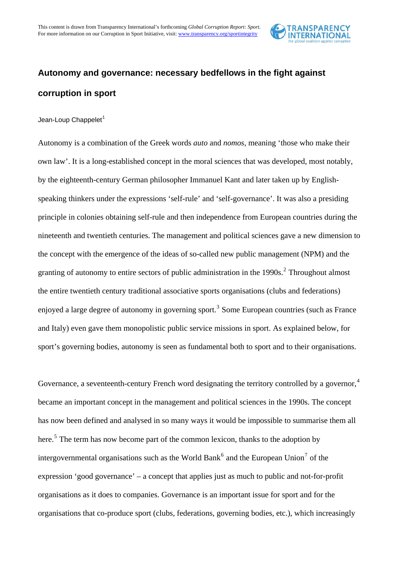

# **Autonomy and governance: necessary bedfellows in the fight against corruption in sport**

## Jean-Loup Chappelet<sup>[1](#page-19-0)</sup>

Autonomy is a combination of the Greek words *auto* and *nomos*, meaning 'those who make their own law'. It is a long-established concept in the moral sciences that was developed, most notably, by the eighteenth-century German philosopher Immanuel Kant and later taken up by Englishspeaking thinkers under the expressions 'self-rule' and 'self-governance'. It was also a presiding principle in colonies obtaining self-rule and then independence from European countries during the nineteenth and twentieth centuries. The management and political sciences gave a new dimension to the concept with the emergence of the ideas of so-called new public management (NPM) and the granting of autonomy to entire sectors of public administration in the  $1990s$ <sup>[2](#page-19-1)</sup>. Throughout almost the entire twentieth century traditional associative sports organisations (clubs and federations) enjoyed a large degree of autonomy in governing sport.<sup>[3](#page-19-2)</sup> Some European countries (such as France and Italy) even gave them monopolistic public service missions in sport. As explained below, for sport's governing bodies, autonomy is seen as fundamental both to sport and to their organisations.

Governance, a seventeenth-century French word designating the territory controlled by a governor,<sup>[4](#page-19-3)</sup> became an important concept in the management and political sciences in the 1990s. The concept has now been defined and analysed in so many ways it would be impossible to summarise them all here.<sup>[5](#page-19-4)</sup> The term has now become part of the common lexicon, thanks to the adoption by intergovernmental organisations such as the World Bank<sup>[6](#page-19-5)</sup> and the European Union<sup>[7](#page-19-6)</sup> of the expression 'good governance' – a concept that applies just as much to public and not-for-profit organisations as it does to companies. Governance is an important issue for sport and for the organisations that co-produce sport (clubs, federations, governing bodies, etc.), which increasingly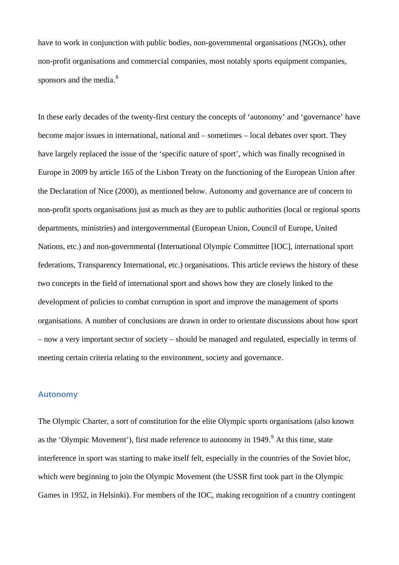have to work in conjunction with public bodies, non-governmental organisations (NGOs), other non-profit organisations and commercial companies, most notably sports equipment companies, sponsors and the media.<sup>[8](#page-19-7)</sup>

In these early decades of the twenty-first century the concepts of 'autonomy' and 'governance' have become major issues in international, national and – sometimes – local debates over sport. They have largely replaced the issue of the 'specific nature of sport', which was finally recognised in Europe in 2009 by article 165 of the Lisbon Treaty on the functioning of the European Union after the Declaration of Nice (2000), as mentioned below. Autonomy and governance are of concern to non-profit sports organisations just as much as they are to public authorities (local or regional sports departments, ministries) and intergovernmental (European Union, Council of Europe, United Nations, etc.) and non-governmental (International Olympic Committee [IOC], international sport federations, Transparency International, etc.) organisations. This article reviews the history of these two concepts in the field of international sport and shows how they are closely linked to the development of policies to combat corruption in sport and improve the management of sports organisations. A number of conclusions are drawn in order to orientate discussions about how sport – now a very important sector of society – should be managed and regulated, especially in terms of meeting certain criteria relating to the environment, society and governance.

# **Autonomy**

The Olympic Charter, a sort of constitution for the elite Olympic sports organisations (also known as the 'Olympic Movement'), first made reference to autonomy in  $1949$  $1949$  $1949$ . At this time, state interference in sport was starting to make itself felt, especially in the countries of the Soviet bloc, which were beginning to join the Olympic Movement (the USSR first took part in the Olympic Games in 1952, in Helsinki). For members of the IOC, making recognition of a country contingent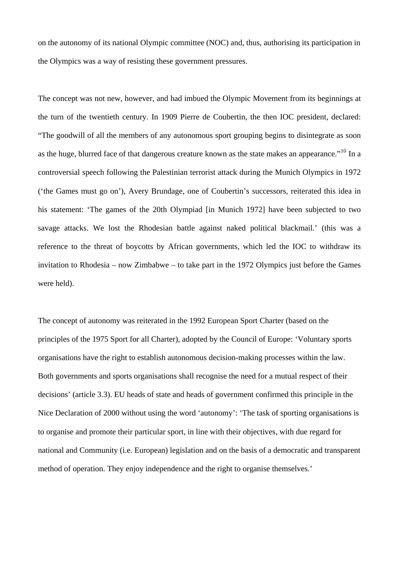on the autonomy of its national Olympic committee (NOC) and, thus, authorising its participation in the Olympics was a way of resisting these government pressures.

The concept was not new, however, and had imbued the Olympic Movement from its beginnings at the turn of the twentieth century. In 1909 Pierre de Coubertin, the then IOC president, declared: "The goodwill of all the members of any autonomous sport grouping begins to disintegrate as soon as the huge, blurred face of that dangerous creature known as the state makes an appearance."<sup>[10](#page-19-9)</sup> In a controversial speech following the Palestinian terrorist attack during the Munich Olympics in 1972 ('the Games must go on'), Avery Brundage, one of Coubertin's successors, reiterated this idea in his statement: 'The games of the 20th Olympiad [in Munich 1972] have been subjected to two savage attacks. We lost the Rhodesian battle against naked political blackmail.' (this was a reference to the threat of boycotts by African governments, which led the IOC to withdraw its invitation to Rhodesia – now Zimbabwe – to take part in the 1972 Olympics just before the Games were held).

The concept of autonomy was reiterated in the 1992 European Sport Charter (based on the principles of the 1975 Sport for all Charter), adopted by the Council of Europe: 'Voluntary sports organisations have the right to establish autonomous decision-making processes within the law. Both governments and sports organisations shall recognise the need for a mutual respect of their decisions' (article 3.3). EU heads of state and heads of government confirmed this principle in the Nice Declaration of 2000 without using the word 'autonomy': 'The task of sporting organisations is to organise and promote their particular sport, in line with their objectives, with due regard for national and Community (i.e. European) legislation and on the basis of a democratic and transparent method of operation. They enjoy independence and the right to organise themselves.'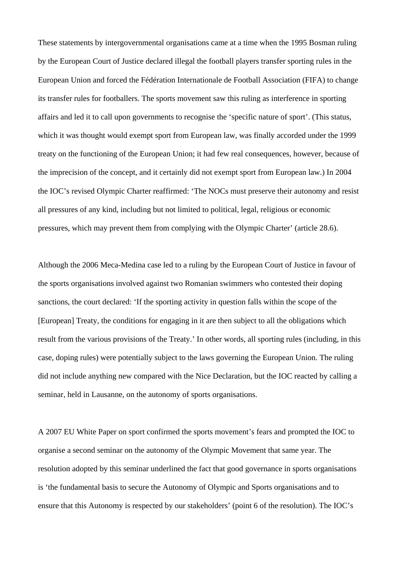These statements by intergovernmental organisations came at a time when the 1995 Bosman ruling by the European Court of Justice declared illegal the football players transfer sporting rules in the European Union and forced the Fédération Internationale de Football Association (FIFA) to change its transfer rules for footballers. The sports movement saw this ruling as interference in sporting affairs and led it to call upon governments to recognise the 'specific nature of sport'. (This status, which it was thought would exempt sport from European law, was finally accorded under the 1999 treaty on the functioning of the European Union; it had few real consequences, however, because of the imprecision of the concept, and it certainly did not exempt sport from European law.) In 2004 the IOC's revised Olympic Charter reaffirmed: 'The NOCs must preserve their autonomy and resist all pressures of any kind, including but not limited to political, legal, religious or economic pressures, which may prevent them from complying with the Olympic Charter' (article 28.6).

Although the 2006 Meca-Medina case led to a ruling by the European Court of Justice in favour of the sports organisations involved against two Romanian swimmers who contested their doping sanctions, the court declared: 'If the sporting activity in question falls within the scope of the [European] Treaty, the conditions for engaging in it are then subject to all the obligations which result from the various provisions of the Treaty.' In other words, all sporting rules (including, in this case, doping rules) were potentially subject to the laws governing the European Union. The ruling did not include anything new compared with the Nice Declaration, but the IOC reacted by calling a seminar, held in Lausanne, on the autonomy of sports organisations.

A 2007 EU White Paper on sport confirmed the sports movement's fears and prompted the IOC to organise a second seminar on the autonomy of the Olympic Movement that same year. The resolution adopted by this seminar underlined the fact that good governance in sports organisations is 'the fundamental basis to secure the Autonomy of Olympic and Sports organisations and to ensure that this Autonomy is respected by our stakeholders' (point 6 of the resolution). The IOC's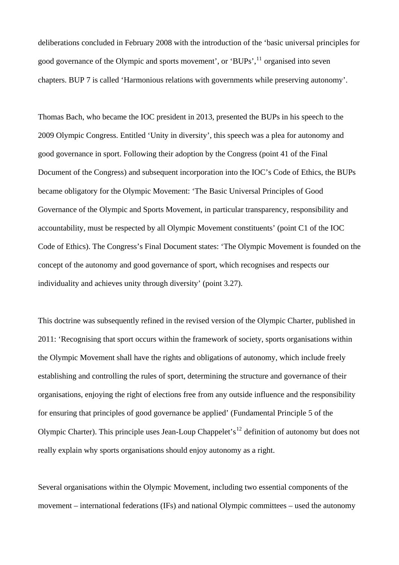deliberations concluded in February 2008 with the introduction of the 'basic universal principles for good governance of the Olympic and sports movement', or 'BUPs', <sup>[11](#page-19-10)</sup> organised into seven chapters. BUP 7 is called 'Harmonious relations with governments while preserving autonomy'.

Thomas Bach, who became the IOC president in 2013, presented the BUPs in his speech to the 2009 Olympic Congress. Entitled 'Unity in diversity', this speech was a plea for autonomy and good governance in sport. Following their adoption by the Congress (point 41 of the Final Document of the Congress) and subsequent incorporation into the IOC's Code of Ethics, the BUPs became obligatory for the Olympic Movement: 'The Basic Universal Principles of Good Governance of the Olympic and Sports Movement, in particular transparency, responsibility and accountability, must be respected by all Olympic Movement constituents' (point C1 of the IOC Code of Ethics). The Congress's Final Document states: 'The Olympic Movement is founded on the concept of the autonomy and good governance of sport, which recognises and respects our individuality and achieves unity through diversity' (point 3.27).

This doctrine was subsequently refined in the revised version of the Olympic Charter, published in 2011: 'Recognising that sport occurs within the framework of society, sports organisations within the Olympic Movement shall have the rights and obligations of autonomy, which include freely establishing and controlling the rules of sport, determining the structure and governance of their organisations, enjoying the right of elections free from any outside influence and the responsibility for ensuring that principles of good governance be applied' (Fundamental Principle 5 of the Olympic Charter). This principle uses Jean-Loup Chappelet's<sup>[12](#page-19-11)</sup> definition of autonomy but does not really explain why sports organisations should enjoy autonomy as a right.

Several organisations within the Olympic Movement, including two essential components of the movement – international federations (IFs) and national Olympic committees – used the autonomy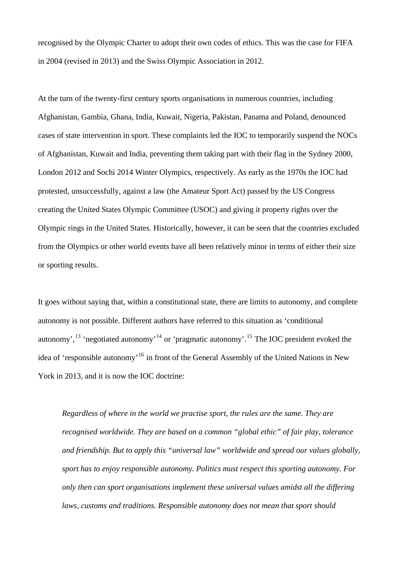recognised by the Olympic Charter to adopt their own codes of ethics. This was the case for FIFA in 2004 (revised in 2013) and the Swiss Olympic Association in 2012.

At the turn of the twenty-first century sports organisations in numerous countries, including Afghanistan, Gambia, Ghana, India, Kuwait, Nigeria, Pakistan, Panama and Poland, denounced cases of state intervention in sport. These complaints led the IOC to temporarily suspend the NOCs of Afghanistan, Kuwait and India, preventing them taking part with their flag in the Sydney 2000, London 2012 and Sochi 2014 Winter Olympics, respectively. As early as the 1970s the IOC had protested, unsuccessfully, against a law (the Amateur Sport Act) passed by the US Congress creating the United States Olympic Committee (USOC) and giving it property rights over the Olympic rings in the United States. Historically, however, it can be seen that the countries excluded from the Olympics or other world events have all been relatively minor in terms of either their size or sporting results.

It goes without saying that, within a constitutional state, there are limits to autonomy, and complete autonomy is not possible. Different authors have referred to this situation as 'conditional autonomy',  $^{13}$  $^{13}$  $^{13}$  'negotiated autonomy'<sup>[14](#page-20-1)</sup> or 'pragmatic autonomy'.<sup>[15](#page-20-2)</sup> The IOC president evoked the idea of 'responsible autonomy'[16](#page-20-3) in front of the General Assembly of the United Nations in New York in 2013, and it is now the IOC doctrine:

*Regardless of where in the world we practise sport, the rules are the same. They are recognised worldwide. They are based on a common "global ethic" of fair play, tolerance and friendship. But to apply this "universal law" worldwide and spread our values globally, sport has to enjoy responsible autonomy. Politics must respect this sporting autonomy. For only then can sport organisations implement these universal values amidst all the differing laws, customs and traditions. Responsible autonomy does not mean that sport should*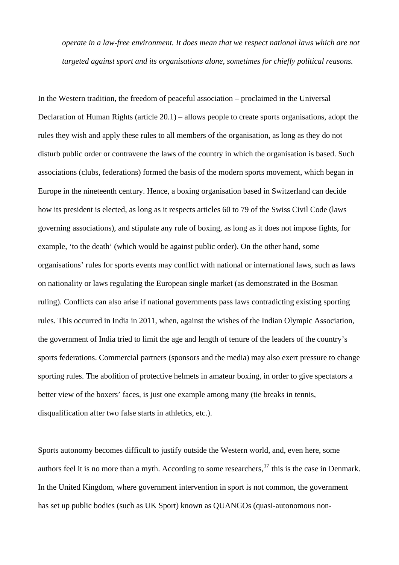*operate in a law-free environment. It does mean that we respect national laws which are not targeted against sport and its organisations alone, sometimes for chiefly political reasons.* 

In the Western tradition, the freedom of peaceful association – proclaimed in the Universal Declaration of Human Rights (article 20.1) – allows people to create sports organisations, adopt the rules they wish and apply these rules to all members of the organisation, as long as they do not disturb public order or contravene the laws of the country in which the organisation is based. Such associations (clubs, federations) formed the basis of the modern sports movement, which began in Europe in the nineteenth century. Hence, a boxing organisation based in Switzerland can decide how its president is elected, as long as it respects articles 60 to 79 of the Swiss Civil Code (laws governing associations), and stipulate any rule of boxing, as long as it does not impose fights, for example, 'to the death' (which would be against public order). On the other hand, some organisations' rules for sports events may conflict with national or international laws, such as laws on nationality or laws regulating the European single market (as demonstrated in the Bosman ruling). Conflicts can also arise if national governments pass laws contradicting existing sporting rules. This occurred in India in 2011, when, against the wishes of the Indian Olympic Association, the government of India tried to limit the age and length of tenure of the leaders of the country's sports federations. Commercial partners (sponsors and the media) may also exert pressure to change sporting rules. The abolition of protective helmets in amateur boxing, in order to give spectators a better view of the boxers' faces, is just one example among many (tie breaks in tennis, disqualification after two false starts in athletics, etc.).

Sports autonomy becomes difficult to justify outside the Western world, and, even here, some authors feel it is no more than a myth. According to some researchers,  $17$  this is the case in Denmark. In the United Kingdom, where government intervention in sport is not common, the government has set up public bodies (such as UK Sport) known as QUANGOs (quasi-autonomous non-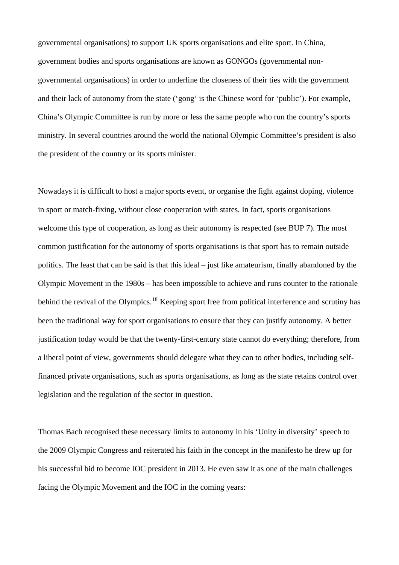governmental organisations) to support UK sports organisations and elite sport. In China, government bodies and sports organisations are known as GONGOs (governmental nongovernmental organisations) in order to underline the closeness of their ties with the government and their lack of autonomy from the state ('gong' is the Chinese word for 'public'). For example, China's Olympic Committee is run by more or less the same people who run the country's sports ministry. In several countries around the world the national Olympic Committee's president is also the president of the country or its sports minister.

Nowadays it is difficult to host a major sports event, or organise the fight against doping, violence in sport or match-fixing, without close cooperation with states. In fact, sports organisations welcome this type of cooperation, as long as their autonomy is respected (see BUP 7). The most common justification for the autonomy of sports organisations is that sport has to remain outside politics. The least that can be said is that this ideal – just like amateurism, finally abandoned by the Olympic Movement in the 1980s – has been impossible to achieve and runs counter to the rationale behind the revival of the Olympics.<sup>[18](#page-20-5)</sup> Keeping sport free from political interference and scrutiny has been the traditional way for sport organisations to ensure that they can justify autonomy. A better justification today would be that the twenty-first-century state cannot do everything; therefore, from a liberal point of view, governments should delegate what they can to other bodies, including selffinanced private organisations, such as sports organisations, as long as the state retains control over legislation and the regulation of the sector in question.

Thomas Bach recognised these necessary limits to autonomy in his 'Unity in diversity' speech to the 2009 Olympic Congress and reiterated his faith in the concept in the manifesto he drew up for his successful bid to become IOC president in 2013. He even saw it as one of the main challenges facing the Olympic Movement and the IOC in the coming years: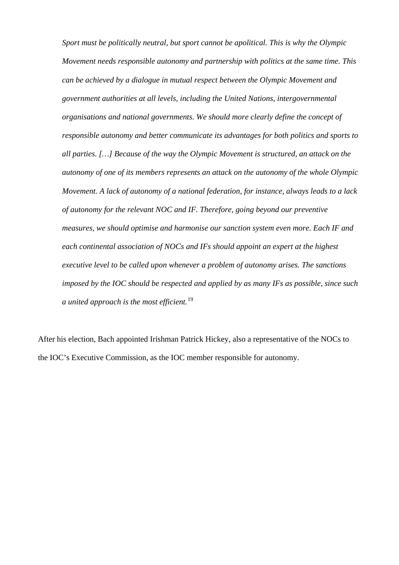*Sport must be politically neutral, but sport cannot be apolitical. This is why the Olympic Movement needs responsible autonomy and partnership with politics at the same time. This can be achieved by a dialogue in mutual respect between the Olympic Movement and government authorities at all levels, including the United Nations, intergovernmental organisations and national governments. We should more clearly define the concept of responsible autonomy and better communicate its advantages for both politics and sports to all parties. […] Because of the way the Olympic Movement is structured, an attack on the autonomy of one of its members represents an attack on the autonomy of the whole Olympic Movement. A lack of autonomy of a national federation, for instance, always leads to a lack of autonomy for the relevant NOC and IF. Therefore, going beyond our preventive measures, we should optimise and harmonise our sanction system even more. Each IF and each continental association of NOCs and IFs should appoint an expert at the highest executive level to be called upon whenever a problem of autonomy arises. The sanctions imposed by the IOC should be respected and applied by as many IFs as possible, since such a united approach is the most efficient.*[19](#page-20-6)

After his election, Bach appointed Irishman Patrick Hickey, also a representative of the NOCs to the IOC's Executive Commission, as the IOC member responsible for autonomy.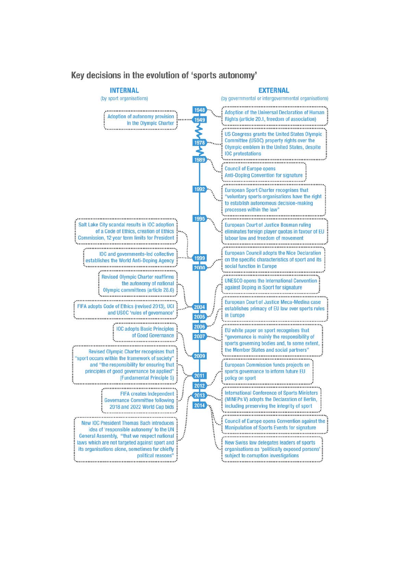# Key decisions in the evolution of 'sports autonomy'

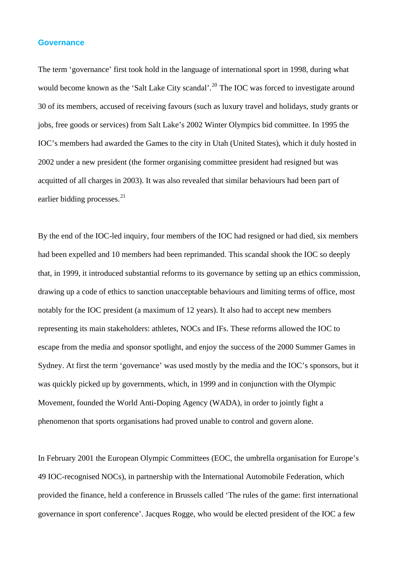#### **Governance**

The term 'governance' first took hold in the language of international sport in 1998, during what would become known as the 'Salt Lake City scandal'.<sup>[20](#page-20-7)</sup> The IOC was forced to investigate around 30 of its members, accused of receiving favours (such as luxury travel and holidays, study grants or jobs, free goods or services) from Salt Lake's 2002 Winter Olympics bid committee. In 1995 the IOC's members had awarded the Games to the city in Utah (United States), which it duly hosted in 2002 under a new president (the former organising committee president had resigned but was acquitted of all charges in 2003). It was also revealed that similar behaviours had been part of earlier bidding processes. $21$ 

By the end of the IOC-led inquiry, four members of the IOC had resigned or had died, six members had been expelled and 10 members had been reprimanded. This scandal shook the IOC so deeply that, in 1999, it introduced substantial reforms to its governance by setting up an ethics commission, drawing up a code of ethics to sanction unacceptable behaviours and limiting terms of office, most notably for the IOC president (a maximum of 12 years). It also had to accept new members representing its main stakeholders: athletes, NOCs and IFs. These reforms allowed the IOC to escape from the media and sponsor spotlight, and enjoy the success of the 2000 Summer Games in Sydney. At first the term 'governance' was used mostly by the media and the IOC's sponsors, but it was quickly picked up by governments, which, in 1999 and in conjunction with the Olympic Movement, founded the World Anti-Doping Agency (WADA), in order to jointly fight a phenomenon that sports organisations had proved unable to control and govern alone.

In February 2001 the European Olympic Committees (EOC, the umbrella organisation for Europe's 49 IOC-recognised NOCs), in partnership with the International Automobile Federation, which provided the finance, held a conference in Brussels called 'The rules of the game: first international governance in sport conference'. Jacques Rogge, who would be elected president of the IOC a few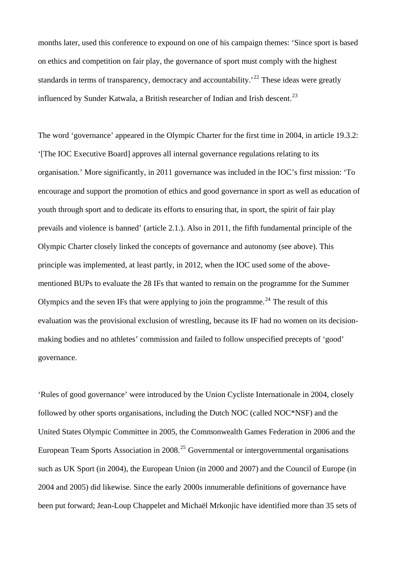months later, used this conference to expound on one of his campaign themes: 'Since sport is based on ethics and competition on fair play, the governance of sport must comply with the highest standards in terms of transparency, democracy and accountability.<sup>[22](#page-20-9)</sup> These ideas were greatly influenced by Sunder Katwala, a British researcher of Indian and Irish descent.<sup>[23](#page-20-10)</sup>

The word 'governance' appeared in the Olympic Charter for the first time in 2004, in article 19.3.2: '[The IOC Executive Board] approves all internal governance regulations relating to its organisation.' More significantly, in 2011 governance was included in the IOC's first mission: 'To encourage and support the promotion of ethics and good governance in sport as well as education of youth through sport and to dedicate its efforts to ensuring that, in sport, the spirit of fair play prevails and violence is banned' (article 2.1.). Also in 2011, the fifth fundamental principle of the Olympic Charter closely linked the concepts of governance and autonomy (see above). This principle was implemented, at least partly, in 2012, when the IOC used some of the abovementioned BUPs to evaluate the 28 IFs that wanted to remain on the programme for the Summer Olympics and the seven IFs that were applying to join the programme.<sup>[24](#page-20-11)</sup> The result of this evaluation was the provisional exclusion of wrestling, because its IF had no women on its decisionmaking bodies and no athletes' commission and failed to follow unspecified precepts of 'good' governance.

'Rules of good governance' were introduced by the Union Cycliste Internationale in 2004, closely followed by other sports organisations, including the Dutch NOC (called NOC\*NSF) and the United States Olympic Committee in 2005, the Commonwealth Games Federation in 2006 and the European Team Sports Association in  $2008<sup>25</sup>$  $2008<sup>25</sup>$  $2008<sup>25</sup>$  Governmental or intergovernmental organisations such as UK Sport (in 2004), the European Union (in 2000 and 2007) and the Council of Europe (in 2004 and 2005) did likewise. Since the early 2000s innumerable definitions of governance have been put forward; Jean-Loup Chappelet and Michaël Mrkonjic have identified more than 35 sets of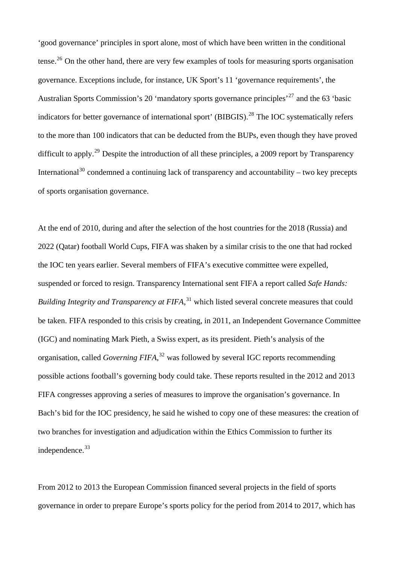'good governance' principles in sport alone, most of which have been written in the conditional tense.<sup>[26](#page-20-13)</sup> On the other hand, there are very few examples of tools for measuring sports organisation governance. Exceptions include, for instance, UK Sport's 11 'governance requirements', the Australian Sports Commission's 20 'mandatory sports governance principles<sup>[27](#page-20-14)</sup> and the 63 'basic indicators for better governance of international sport' (BIBGIS).<sup>[28](#page-20-15)</sup> The IOC systematically refers to the more than 100 indicators that can be deducted from the BUPs, even though they have prove d difficult to apply.<sup>[29](#page-20-16)</sup> Despite the introduction of all these principles, a 2009 report by Transparency International<sup>[30](#page-20-17)</sup> condemned a continuing lack of transparency and accountability – two key precepts of sports organisation governance.

At the end of 2010, during and after the selection of the host countries for the 2018 (Russia) and 2022 (Qatar) football World Cups, FIFA was shaken by a similar crisis to the one that had rocked the IOC ten years earlier. Several members of FIFA's executive committee were expelled, suspended or forced to resign. Transparency International sent FIFA a report called *Safe Hands: Building Integrity and Transparency at FIFA*, [31](#page-20-18) which listed several concrete measures that could be taken. FIFA responded to this crisis by creating, in 2011, an Independent Governance Committee (IGC) and nominating Mark Pieth, a Swiss expert, as its president. Pieth's analysis of the organisation, called *Governing FIFA*, [32](#page-20-19) was followed by several IGC reports recommending possible actions football's governing body could take. These reports resulted in the 2012 and 2013 FIFA congresses approving a series of measures to improve the organisation's governance. In Bach's bid for the IOC presidency, he said he wished to copy one of these measures: the creation of two branches for investigation and adjudication within the Ethics Commission to further its independence.<sup>[33](#page-20-20)</sup>

From 2012 to 2013 the European Commission financed several projects in the field of sports governance in order to prepare Europe's sports policy for the period from 2014 to 2017, which has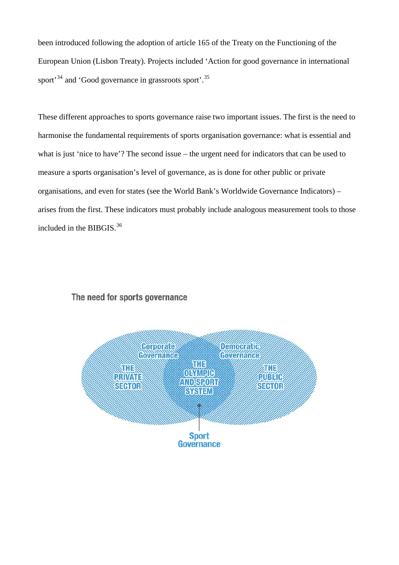been introduced following the adoption of article 165 of the Treaty on the Functioning of the European Union (Lisbon Treaty). Projects included 'Action for good governance in international sport<sup>[34](#page-20-21)</sup> and 'Good governance in grassroots sport'.<sup>[35](#page-20-22)</sup>

These different approaches to sports governance raise two important issues. The first is the need to harmonise the fundamental requirements of sports organisation governance: what is essential and what is just 'nice to have'? The second issue – the urgent need for indicators that can be used to measure a sports organisation's level of governance, as is done for other public or private organisations, and even for states (see the World Bank's Worldwide Governance Indicators) – arises from the first. These indicators must probably include analogous measurement tools to those included in the BIBGIS. $36$ 

# The need for sports governance

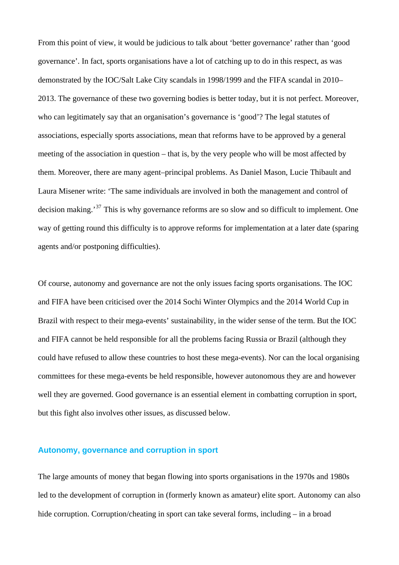From this point of view, it would be judicious to talk about 'better governance' rather than 'good governance'. In fact, sports organisations have a lot of catching up to do in this respect, as was demonstrated by the IOC/Salt Lake City scandals in 1998/1999 and the FIFA scandal in 2010– 2013. The governance of these two governing bodies is better today, but it is not perfect. Moreover, who can legitimately say that an organisation's governance is 'good'? The legal statutes of associations, especially sports associations, mean that reforms have to be approved by a general meeting of the association in question – that is, by the very people who will be most affected by them. Moreover, there are many agent–principal problems. As Daniel Mason, Lucie Thibault and Laura Misener write: 'The same individuals are involved in both the management and control of decision making.<sup>[37](#page-20-24)</sup> This is why governance reforms are so slow and so difficult to implement. One way of getting round this difficulty is to approve reforms for implementation at a later date (sparing agents and/or postponing difficulties).

Of course, autonomy and governance are not the only issues facing sports organisations. The IOC and FIFA have been criticised over the 2014 Sochi Winter Olympics and the 2014 World Cup in Brazil with respect to their mega-events' sustainability, in the wider sense of the term. But the IOC and FIFA cannot be held responsible for all the problems facing Russia or Brazil (although they could have refused to allow these countries to host these mega-events). Nor can the local organising committees for these mega-events be held responsible, however autonomous they are and however well they are governed. Good governance is an essential element in combatting corruption in sport, but this fight also involves other issues, as discussed below.

## **Autonomy, governance and corruption in sport**

The large amounts of money that began flowing into sports organisations in the 1970s and 1980s led to the development of corruption in (formerly known as amateur) elite sport. Autonomy can also hide corruption. Corruption/cheating in sport can take several forms, including – in a broad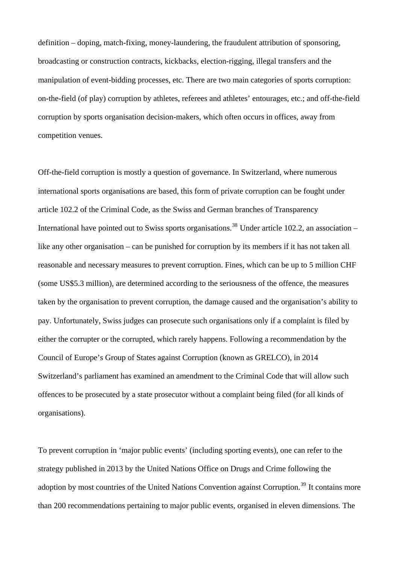definition – doping, match-fixing, money-laundering, the fraudulent attribution of sponsoring, broadcasting or construction contracts, kickbacks, election-rigging, illegal transfers and the manipulation of event-bidding processes, etc. There are two main categories of sports corruption: on-the-field (of play) corruption by athletes, referees and athletes' entourages, etc.; and off-the-field corruption by sports organisation decision-makers, which often occurs in offices, away from competition venues.

Off-the-field corruption is mostly a question of governance. In Switzerland, where numerous international sports organisations are based, this form of private corruption can be fought under article 102.2 of the Criminal Code, as the Swiss and German branches of Transparency International have pointed out to Swiss sports organisations.<sup>[38](#page-20-25)</sup> Under article 102.2, an association – like any other organisation – can be punished for corruption by its members if it has not taken all reasonable and necessary measures to prevent corruption. Fines, which can be up to 5 million CHF (some US\$5.3 million), are determined according to the seriousness of the offence, the measures taken by the organisation to prevent corruption, the damage caused and the organisation's ability to pay. Unfortunately, Swiss judges can prosecute such organisations only if a complaint is filed by either the corrupter or the corrupted, which rarely happens. Following a recommendation by the Council of Europe's Group of States against Corruption (known as GRELCO), in 2014 Switzerland's parliament has examined an amendment to the Criminal Code that will allow such offences to be prosecuted by a state prosecutor without a complaint being filed (for all kinds of organisations).

To prevent corruption in 'major public events' (including sporting events), one can refer to the strategy published in 2013 by the United Nations Office on Drugs and Crime following the adoption by most countries of the United Nations Convention against Corruption.<sup>[39](#page-20-26)</sup> It contains more than 200 recommendations pertaining to major public events, organised in eleven dimensions. The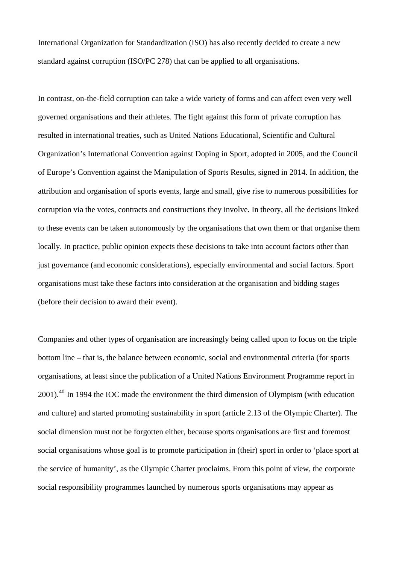International Organization for Standardization (ISO) has also recently decided to create a new standard against corruption (ISO/PC 278) that can be applied to all organisations.

In contrast, on-the-field corruption can take a wide variety of forms and can affect even very well governed organisations and their athletes. The fight against this form of private corruption has resulted in international treaties, such as United Nations Educational, Scientific and Cultural Organization's International Convention against Doping in Sport, adopted in 2005, and the Council of Europe's Convention against the Manipulation of Sports Results, signed in 2014. In addition, the attribution and organisation of sports events, large and small, give rise to numerous possibilities for corruption via the votes, contracts and constructions they involve. In theory, all the decisions linked to these events can be taken autonomously by the organisations that own them or that organise them locally. In practice, public opinion expects these decisions to take into account factors other than just governance (and economic considerations), especially environmental and social factors. Sport organisations must take these factors into consideration at the organisation and bidding stages (before their decision to award their event).

Companies and other types of organisation are increasingly being called upon to focus on the triple bottom line – that is, the balance between economic, social and environmental criteria (for sports organisations, at least since the publication of a United Nations Environment Programme report in 2001).<sup>[40](#page-20-27)</sup> In 1994 the IOC made the environment the third dimension of Olympism (with education and culture) and started promoting sustainability in sport (article 2.13 of the Olympic Charter). The social dimension must not be forgotten either, because sports organisations are first and foremost social organisations whose goal is to promote participation in (their) sport in order to 'place sport at the service of humanity', as the Olympic Charter proclaims. From this point of view, the corporate social responsibility programmes launched by numerous sports organisations may appear as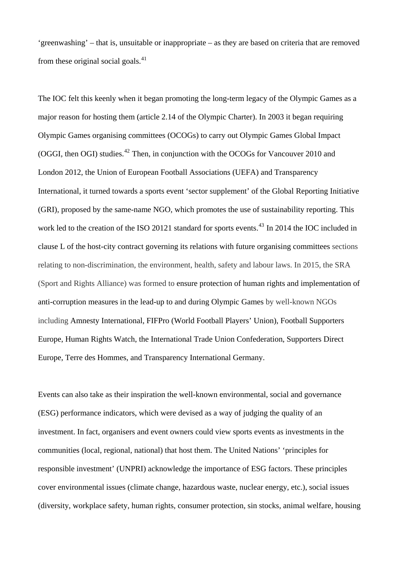'greenwashing' – that is, unsuitable or inappropriate – as they are based on criteria that are removed from these original social goals. $41$ 

The IOC felt this keenly when it began promoting the long-term legacy of the Olympic Games as a major reason for hosting them (article 2.14 of the Olympic Charter). In 2003 it began requiring Olympic Games organising committees (OCOGs) to carry out Olympic Games Global Impact (OGGI, then OGI) studies.<sup>[42](#page-20-29)</sup> Then, in conjunction with the OCOGs for Vancouver 2010 and London 2012, the Union of European Football Associations (UEFA) and Transparency International, it turned towards a sports event 'sector supplement' of the Global Reporting Initiative (GRI), proposed by the same-name NGO, which promotes the use of sustainability reporting. This work led to the creation of the ISO 20121 standard for sports events.<sup>[43](#page-21-0)</sup> In 2014 the IOC included in clause L of the host-city contract governing its relations with future organising committees sections relating to non-discrimination, the environment, health, safety and labour laws. In 2015, the SRA (Sport and Rights Alliance) was formed to ensure protection of human rights and implementation of anti-corruption measures in the lead-up to and during Olympic Games by well-known NGOs including Amnesty International, FIFPro (World Football Players' Union), Football Supporters Europe, Human Rights Watch, the International Trade Union Confederation, Supporters Direct Europe, Terre des Hommes, and Transparency International Germany.

Events can also take as their inspiration the well-known environmental, social and governance (ESG) performance indicators, which were devised as a way of judging the quality of an investment. In fact, organisers and event owners could view sports events as investments in the communities (local, regional, national) that host them. The United Nations' 'principles for responsible investment' (UNPRI) acknowledge the importance of ESG factors. These principles cover environmental issues (climate change, hazardous waste, nuclear energy, etc.), social issues (diversity, workplace safety, human rights, consumer protection, sin stocks, animal welfare, housing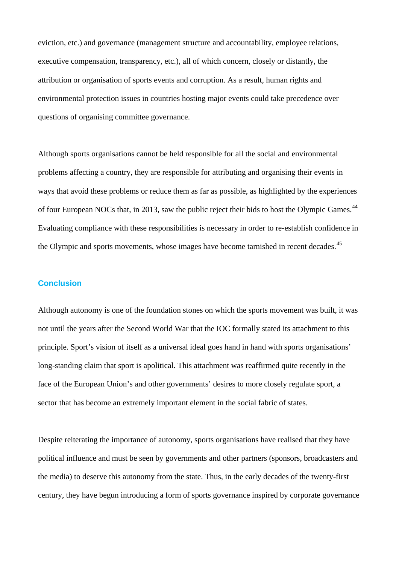eviction, etc.) and governance (management structure and accountability, employee relations, executive compensation, transparency, etc.), all of which concern, closely or distantly, the attribution or organisation of sports events and corruption. As a result, human rights and environmental protection issues in countries hosting major events could take precedence over questions of organising committee governance.

Although sports organisations cannot be held responsible for all the social and environmental problems affecting a country, they are responsible for attributing and organising their events in ways that avoid these problems or reduce them as far as possible, as highlighted by the experiences of four European NOCs that, in 2013, saw the public reject their bids to host the Olympic Games.<sup>[44](#page-21-1)</sup> Evaluating compliance with these responsibilities is necessary in order to re-establish confidence in the Olympic and sports movements, whose images have become tarnished in recent decades.<sup>[45](#page-21-2)</sup>

# **Conclusion**

Although autonomy is one of the foundation stones on which the sports movement was built, it was not until the years after the Second World War that the IOC formally stated its attachment to this principle. Sport's vision of itself as a universal ideal goes hand in hand with sports organisations' long-standing claim that sport is apolitical. This attachment was reaffirmed quite recently in the face of the European Union's and other governments' desires to more closely regulate sport, a sector that has become an extremely important element in the social fabric of states.

Despite reiterating the importance of autonomy, sports organisations have realised that they have political influence and must be seen by governments and other partners (sponsors, broadcasters and the media) to deserve this autonomy from the state. Thus, in the early decades of the twenty-first century, they have begun introducing a form of sports governance inspired by corporate governance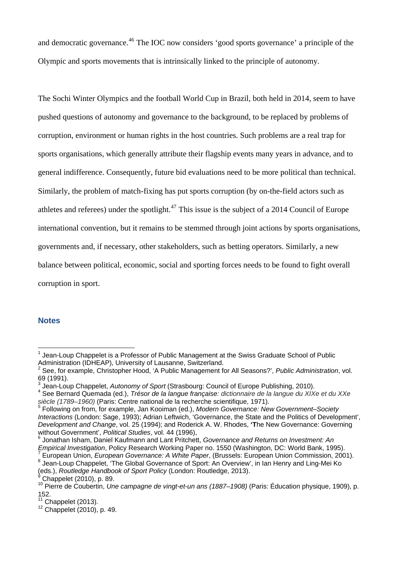and democratic governance.<sup>[46](#page-21-3)</sup> The IOC now considers 'good sports governance' a principle of the Olympic and sports movements that is intrinsically linked to the principle of autonomy.

The Sochi Winter Olympics and the football World Cup in Brazil, both held in 2014, seem to have pushed questions of autonomy and governance to the background, to be replaced by problems of corruption, environment or human rights in the host countries. Such problems are a real trap for sports organisations, which generally attribute their flagship events many years in advance, and to general indifference. Consequently, future bid evaluations need to be more political than technical. Similarly, the problem of match-fixing has put sports corruption (by on-the-field actors such as athletes and referees) under the spotlight.<sup>[47](#page-21-4)</sup> This issue is the subject of a 2014 Council of Europe international convention, but it remains to be stemmed through joint actions by sports organisations, governments and, if necessary, other stakeholders, such as betting operators. Similarly, a new balance between political, economic, social and sporting forces needs to be found to fight overall corruption in sport.

# **Notes**

<span id="page-19-0"></span><sup>&</sup>lt;u> 1989 - Andrea Stadt Britain, marwolaeth a bh</u>  $1$  Jean-Loup Chappelet is a Professor of Public Management at the Swiss Graduate School of Public Administration (IDHEAP), University of Lausanne, Switzerland. 2

<span id="page-19-1"></span>See, for example, Christopher Hood, 'A Public Management for All Seasons?', *Public Administration*, vol. 69 (1991).

<span id="page-19-2"></span><sup>&</sup>lt;sup>3</sup> Jean-Loup Chappelet, *Autonomy of Sport* (Strasbourg: Council of Europe Publishing, 2010).<br><sup>4</sup> See Bernard Quamede (ed.), *Tréess de le lengue franceire diptionneire de la lengue du VIX* 

<span id="page-19-3"></span>See Bernard Quemada (ed.), *Trésor de la langue française: dictionnaire de la langue du XIXe et du XXe siècle (1789–1960)* (Paris: Centre national de la recherche scientifique, 1971).

<span id="page-19-4"></span><sup>5</sup> Following on from, for example, Jan Kooiman (ed.), *Modern Governance: New Government–Society Interactions* (London: Sage, 1993); Adrian Leftwich, 'Governance, the State and the Politics of Development', *Development and Change*, vol. 25 (1994); and Roderick A. W. Rhodes, **'T**he New Governance: Governing without Government', Political Studies, vol. 44 (1996),

<span id="page-19-5"></span>Jonathan Isham, Daniel Kaufmann and Lant Pritchett, *Governance and Returns on Investment: An Empirical Investigation*, Policy Research Working Paper no. 1550 (Washington, DC: World Bank, 1995). 7 European Union, *European Governance: A White Paper*, (Brussels: European Union Commission, 2001). 8

<span id="page-19-7"></span><span id="page-19-6"></span>Jean-Loup Chappelet, 'The Global Governance of Sport: An Overview', in Ian Henry and Ling-Mei Ko (eds.), *Routledge Handbook of Sport Policy* (London: Routledge, 2013).

<span id="page-19-8"></span>Chappelet (2010), p. 89.

<span id="page-19-9"></span><sup>10</sup> Pierre de Coubertin, *Une campagne de vingt-et-un ans (1887–1908)* (Paris: Éducation physique, 1909), p. 152.<br><sup>11</sup> Chappelet (2013).

<span id="page-19-11"></span><span id="page-19-10"></span> $12$  Chappelet (2010), p. 49.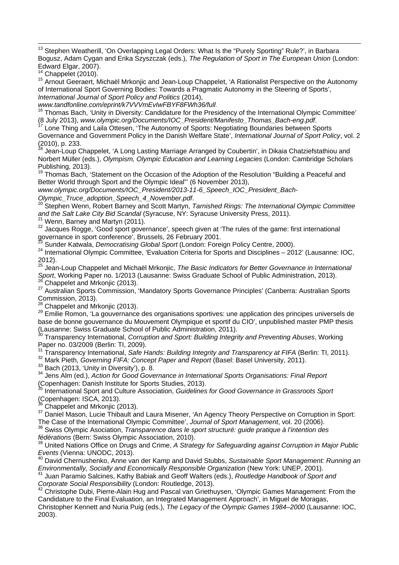<span id="page-20-0"></span>a a componente de construíron de la construída de la construída de la construída de la construída de la constr<br>Altre de la construída de la construída de la construída de la construída de la construída de la construída de  $13$  Stephen Weatherill, 'On Overlapping Legal Orders: What Is the "Purely Sporting" Rule?', in Barbara Bogusz, Adam Cygan and Erika Szyszczak (eds.), *The Regulation of Sport in The European Union* (London: Edward Elgar, 2007).

<span id="page-20-2"></span><span id="page-20-1"></span><sup>14</sup> Chappelet (2010).<br><sup>15</sup> Arnout Geeraert, Michaël Mrkonjic and Jean-Loup Chappelet, 'A Rationalist Perspective on the Autonomy of International Sport Governing Bodies: Towards a Pragmatic Autonomy in the Steering of Sports', *International Journal of Sport Policy and Politics* (2014),

<span id="page-20-3"></span><sup>16</sup> Thomas Bach, 'Unity in Diversity: Candidature for the Presidency of the International Olympic Committee'<br>(8 July 2013), www[.](http://www.tandfonline.com/eprint/k7VVVmEvIwFBYF8FWh36/full)olympic.org/Documents/IOC\_President/Manifesto\_Thomas\_Bach-eng.pdf.

<span id="page-20-4"></span>Lone Thing and Laila Ottesen, 'The Autonomy of Sports: Negotiating Boundaries between Sports Governance and Government Policy in the Danish Welfare State', *International Journal of Sport Policy*, vol. 2 (2010), p. 233.

<span id="page-20-5"></span>18 Jean-Loup Chappelet, 'A Long Lasting Marriage Arranged by Coubertin', in Dikaia Chatziefstathiou and Norbert Müller (eds.), *Olympism, Olympic Education and Learning Legacies* (London: Cambridge Scholars Publishing, 2013).

<span id="page-20-6"></span><sup>19</sup> Thomas Bach, 'Statement on the Occasion of the Adoption of the Resolution "Building a Peaceful and Better World through Sport and the Olympic Ideal"' (6 November 2013),

www.olympic.org/Documents/IOC\_President/2013-11-6\_Speech\_IOC\_President\_Bach-<br>Olympic\_Truce\_adoption\_Speech\_4\_November.pdf.<br><sup>20</sup> Stopber Wars, Ret.wich

<span id="page-20-7"></span><sup>20</sup> Stephen Wenn, Robert Barney and Scott Martyn, *Tarnished Rings: The International Olympic Committee and the Salt Lake City Bid Scandal (Syracuse, NY: Syracuse University Press, 2011).* 

<span id="page-20-9"></span><span id="page-20-8"></span> $^{21}$  Wenn, Barney and Martyn (2011).<br><sup>22</sup> Jacques Rogge, 'Good sport governance', speech given at 'The rules of the game: first international governance in sport conference', Brussels, 26 February 2001.<br><sup>23</sup> Sunder Katwala, *Democratising Global Sport* (London: Foreign Policy Centre, 2000).

<span id="page-20-11"></span><span id="page-20-10"></span><sup>24</sup> International Olympic Committee, 'Evaluation Criteria for Sports and Disciplines – 2012' (Lausanne: IOC, 2012).

<span id="page-20-12"></span>25 Jean-Loup Chappelet and Michaël Mrkonjic, *The Basic Indicators for Better Governance in International*  Sport, Working Paper no. 1/2013 (Lausanne: Swiss Graduate School of Public Administration, 2013).<br><sup>26</sup> Chappelet and Mrkonjic (2013).<br><sup>27</sup> Australian Sports Commission, 'Mandatory Sports Governance Principles' (Canberra: A

<span id="page-20-14"></span><span id="page-20-13"></span>Commission, 2013).<br><sup>28</sup> Chappelet and Mrkonjic (2013).

<span id="page-20-16"></span><span id="page-20-15"></span><sup>29</sup> Emilie Romon, 'La gouvernance des organisations sportives: une application des principes universels de base de bonne gouvernance du Mouvement Olympique et sportif du CIO', unpublished master PMP thesis (Lausanne: Swiss Graduate School of Public Administration, 2011).

<span id="page-20-17"></span>30 Transparency International, *Corruption and Sport: Building Integrity and Preventing Abuses*, Working Paper no. 03/2009 (Berlin: TI, 2009).

<span id="page-20-19"></span><span id="page-20-18"></span><sup>31</sup> Transparency International, *Safe Hands: Building Integrity and Transparency at FIFA* (Berlin: TI, 2011).<br><sup>32</sup> Mark Pieth, *Governing FIFA: Concept Paper and Report* (Basel: Basel University, 2011).<br><sup>33</sup> Bach (2013, '

<span id="page-20-21"></span><span id="page-20-20"></span>(Copenhagen: Danish Institute for Sports Studies, 2013).

<span id="page-20-22"></span>35 International Sport and Culture Association, *Guidelines for Good Governance in Grassroots Sport* (Copenhagen: ISCA, 2013).<br><sup>36</sup> Chappelet and Mrkonjic (2013).

<span id="page-20-24"></span><span id="page-20-23"></span><sup>37</sup> Daniel Mason, Lucie Thibault and Laura Misener, 'An Agency Theory Perspective on Corruption in Sport:

<span id="page-20-25"></span>The Case of the International Olympic Committee', *Journal of Sport Management*, vol. 20 (2006).<br><sup>38</sup> Swiss Olympic Asociation, *Transparence dans le sport structuré: guide pratique à l'intention des fédérations (Bern: Swi* 

<span id="page-20-26"></span><sup>39</sup> United Nations Office on Drugs and Crime, A Strategy for Safeguarding against Corruption in Major Public *Events* (Vienna: UNODC, 2013).

<sup>40</sup> David Chernushenko, Anne van der Kamp and David Stubbs, *Sustainable Sport Management: Running an* 

<span id="page-20-28"></span><span id="page-20-27"></span>*Environmentally, Socially and Economically Responsible Organization* (New York: UNEP, 2001). 41 Juan Paramio Salcines, Kathy Babiak and Geoff Walters (eds.), *Routledge Handbook of Sport and* 

<span id="page-20-29"></span><sup>42</sup> Christophe Dubi, Pierre-Alain Hug and Pascal van Griethuysen, 'Olympic Games Management: From the Candidature to the Final Evaluation, an Integrated Management Approach', in Miguel de Moragas, Christopher Kennett and Nuria Puig (eds.), *The Legacy of the Olympic Games 1984–2000* (Lausanne: IOC, 2003).